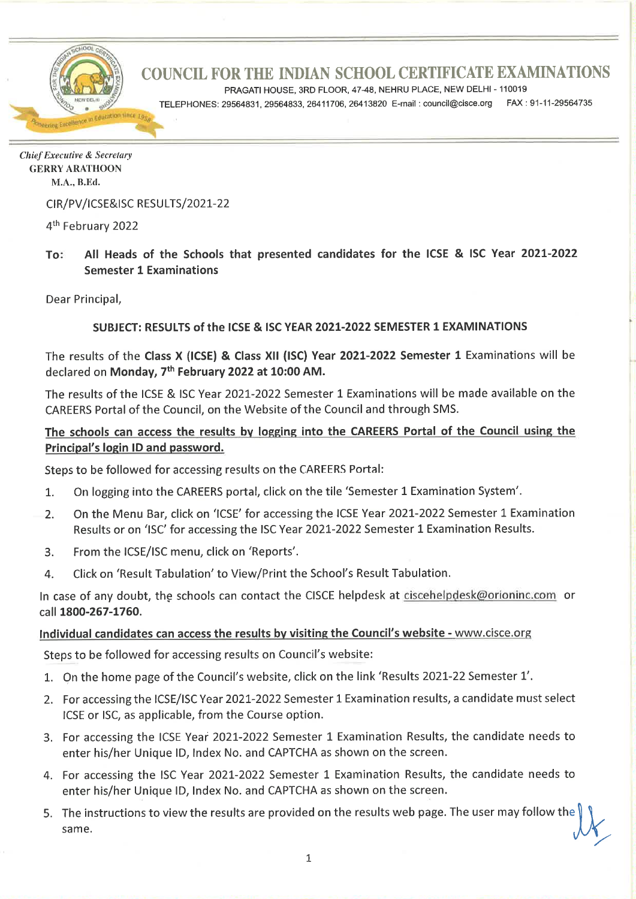

PRAGATI HOUSE, 3RD FLOOR, 47-48, NEHRU PLACE, NEW DELHI - 110019

TELEPHONES: 29564831, 29564833, 26411706, 26413820 E-mail: council@cisce.org FAX: 91-11-29564735

**Chief Executive & Secretary GERRY ARATHOON** M.A., B.Ed.

CIR/PV/ICSE&ISC RESULTS/2021-22

4<sup>th</sup> February 2022

#### All Heads of the Schools that presented candidates for the ICSE & ISC Year 2021-2022 To: **Semester 1 Examinations**

Dear Principal,

#### SUBJECT: RESULTS of the ICSE & ISC YEAR 2021-2022 SEMESTER 1 EXAMINATIONS

The results of the Class X (ICSE) & Class XII (ISC) Year 2021-2022 Semester 1 Examinations will be declared on Monday, 7th February 2022 at 10:00 AM.

The results of the ICSE & ISC Year 2021-2022 Semester 1 Examinations will be made available on the CAREERS Portal of the Council, on the Website of the Council and through SMS.

#### The schools can access the results by logging into the CAREERS Portal of the Council using the Principal's login ID and password.

Steps to be followed for accessing results on the CAREERS Portal:

- On logging into the CAREERS portal, click on the tile 'Semester 1 Examination System'.  $1.$
- On the Menu Bar, click on 'ICSE' for accessing the ICSE Year 2021-2022 Semester 1 Examination  $2.$ Results or on 'ISC' for accessing the ISC Year 2021-2022 Semester 1 Examination Results.
- From the ICSE/ISC menu, click on 'Reports'.  $3.$
- Click on 'Result Tabulation' to View/Print the School's Result Tabulation. 4.

In case of any doubt, the schools can contact the CISCE helpdesk at ciscehelpdesk@orioninc.com or call 1800-267-1760.

#### Individual candidates can access the results by visiting the Council's website - www.cisce.org

Steps to be followed for accessing results on Council's website:

- 1. On the home page of the Council's website, click on the link 'Results 2021-22 Semester 1'.
- 2. For accessing the ICSE/ISC Year 2021-2022 Semester 1 Examination results, a candidate must select ICSE or ISC, as applicable, from the Course option.
- 3. For accessing the ICSE Year 2021-2022 Semester 1 Examination Results, the candidate needs to enter his/her Unique ID, Index No. and CAPTCHA as shown on the screen.
- 4. For accessing the ISC Year 2021-2022 Semester 1 Examination Results, the candidate needs to enter his/her Unique ID, Index No. and CAPTCHA as shown on the screen.
- 5. The instructions to view the results are provided on the results web page. The user may follow the same.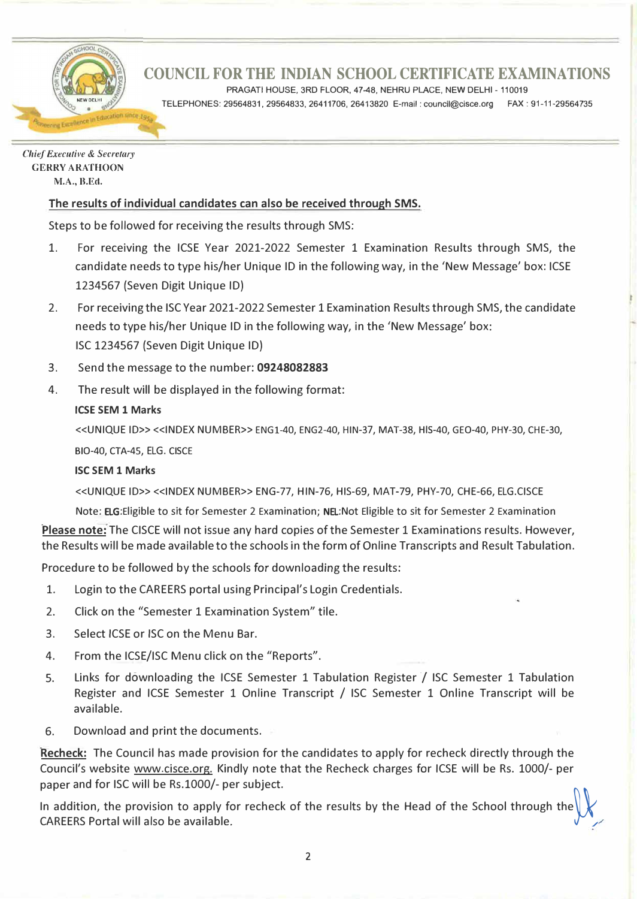

PRAGATI HOUSE, 3RD FLOOR, 47-48, NEHRU PLACE, NEW DELHI - 110019

TELEPHONES: 29564831, 29564833, 26411706, 26413820 E-mail: council@cisce.org FAX: 91-11-29564735

*Chief Executive* **&** *Secretary*  **GERRY ARATHOON M.A.,H.Ed.**

### **The results of individual candidates can also be received through SMS.**

Steps to be followed for receiving the results through SMS:

- 1. For receiving the ICSE Year 2021-2022 Semester 1 Examination Results through SMS, the candidate needs to type his/her Unique ID in the following way, in the 'New Message' box: ICSE 1234567 (Seven Digit Unique ID)
- 2. For receiving the ISC Year 2021-2022 Semester 1 Examination Results through SMS, the candidate needs to type his/her Unique ID in the following way, in the 'New Message' box: ISC 1234567 (Seven Digit Unique ID)
- 3. Send the message to the number: **09248082883**
- 4. The result will be displayed in the following format:

#### **ICSE SEM 1 Marks**

<<UNIQUE ID>> <<INDEX NUMBER>> ENGl-40, ENG2-40, HIN-37, MAT-38, HIS-40, GEO-40, PHY-30, CHE-30, B1O-40, CTA-45, ELG. CISCE

#### **ISC SEM 1 Marks**

<<UNIQUE ID>> <<INDEX NUMBER>> ENG-77, HIN-76, HIS-69, MAT-79, PHY-70, CHE-66, ELG.CISCE

Note: ELG:Eligible to sit for Semester 2 Examination; NEL:Not Eligible to sit for Semester 2 Examination

**Please note:** The CISCE will not issue any hard copies of the Semester 1 Examinations results. However, the Results will be made available to the schools in the form of Online Transcripts and Result Tabulation.

Procedure to be followed by the schools for downloading the results:

- 1. Login to the CAREERS portal using Principal's Login Credentials.
- 2. Click on the "Semester 1 Examination System" tile.
- 3. Select ICSE or ISC on the Menu Bar.
- 4. From the ICSE/ISC Menu click on the "Reports".
- 5. Links for downloading the ICSE Semester 1 Tabulation Register/ ISC Semester 1 Tabulation Register and ICSE Semester 1 Online Transcript / ISC Semester 1 Online Transcript will be available.
- 6. Download and print the documents.

**Recheck:** The Council has made provision for the candidates to apply for recheck directly through the Council's website www.cisce.org. Kindly note that the Recheck charges for ICSE will be Rs. 1000/- per paper and for ISC will be Rs.1000/- per subject.

In addition, the provision to apply for recheck of the results by the Head of the School through the CAREERS Portal will also be available.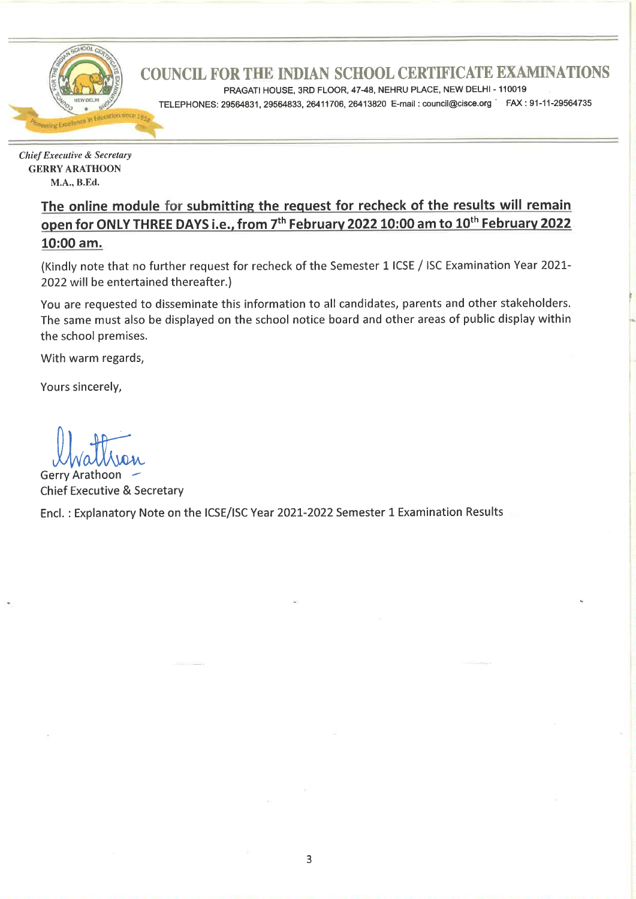

PRAGATI HOUSE, 3RD FLOOR, 47-48, NEHRU PLACE, NEW DELHI - 110019

TELEPHONES: 29564831, 29564833, 26411706, 26413820 E-mail: council@cisce.org FAX: 91-11-29564735

**Chief Executive & Secretary GERRY ARATHOON** M.A., B.Ed.

> The online module for submitting the request for recheck of the results will remain open for ONLY THREE DAYS i.e., from 7<sup>th</sup> February 2022 10:00 am to 10<sup>th</sup> February 2022 10:00 am.

> (Kindly note that no further request for recheck of the Semester 1 ICSE / ISC Examination Year 2021-2022 will be entertained thereafter.)

> You are requested to disseminate this information to all candidates, parents and other stakeholders. The same must also be displayed on the school notice board and other areas of public display within the school premises.

With warm regards,

Yours sincerely,

**Gerry Arathoon Chief Executive & Secretary** 

Encl.: Explanatory Note on the ICSE/ISC Year 2021-2022 Semester 1 Examination Results